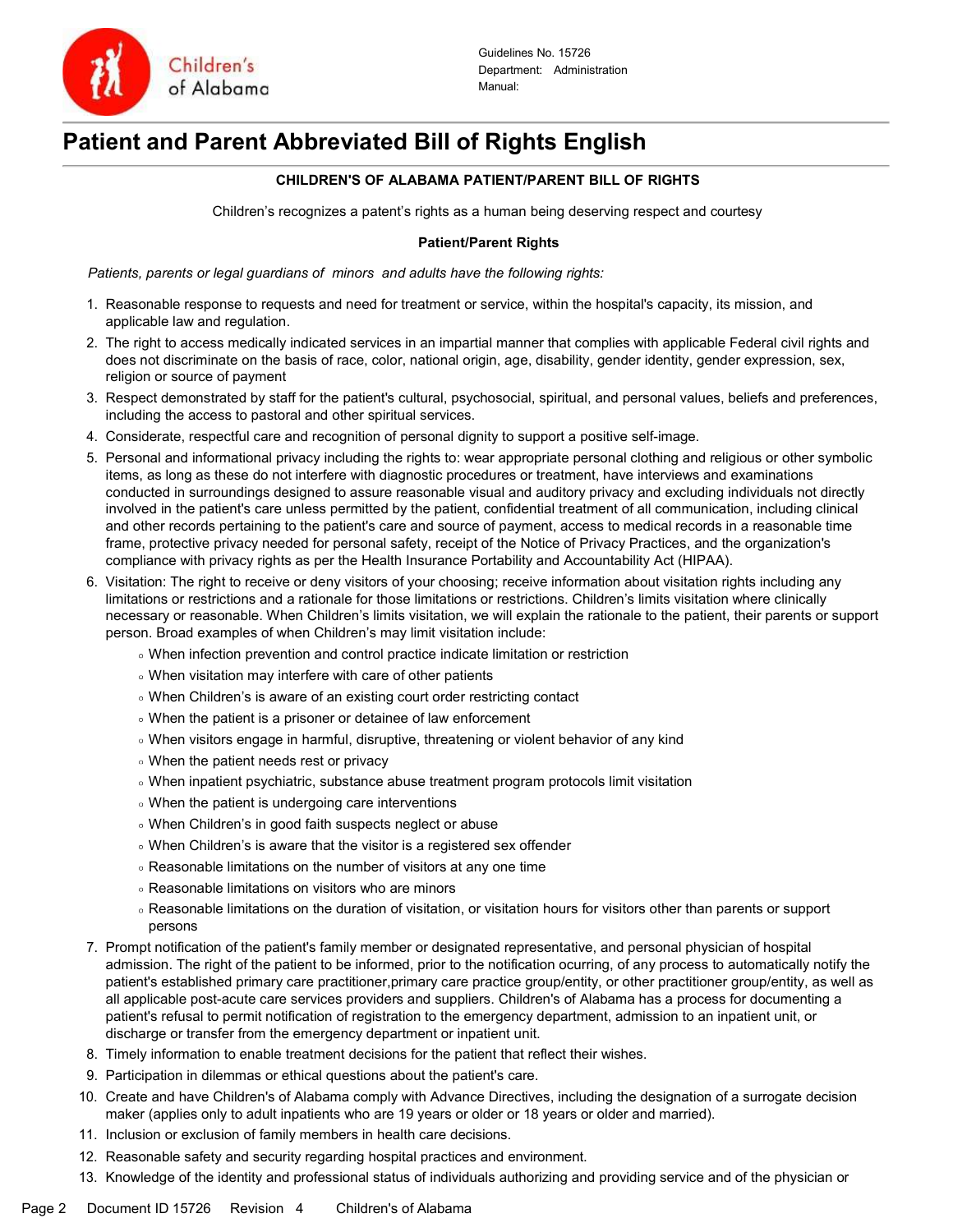

# Patient and Parent Abbreviated Bill of Rights English

## CHILDREN'S OF ALABAMA PATIENT/PARENT BILL OF RIGHTS

Children's recognizes a patent's rights as a human being deserving respect and courtesy

### Patient/Parent Rights

Patients, parents or legal guardians of minors and adults have the following rights:

- 1. Reasonable response to requests and need for treatment or service, within the hospital's capacity, its mission, and applicable law and regulation.
- 2. The right to access medically indicated services in an impartial manner that complies with applicable Federal civil rights and does not discriminate on the basis of race, color, national origin, age, disability, gender identity, gender expression, sex, religion or source of payment
- 3. Respect demonstrated by staff for the patient's cultural, psychosocial, spiritual, and personal values, beliefs and preferences, including the access to pastoral and other spiritual services.
- 4. Considerate, respectful care and recognition of personal dignity to support a positive self-image.
- 5. Personal and informational privacy including the rights to: wear appropriate personal clothing and religious or other symbolic items, as long as these do not interfere with diagnostic procedures or treatment, have interviews and examinations conducted in surroundings designed to assure reasonable visual and auditory privacy and excluding individuals not directly involved in the patient's care unless permitted by the patient, confidential treatment of all communication, including clinical and other records pertaining to the patient's care and source of payment, access to medical records in a reasonable time frame, protective privacy needed for personal safety, receipt of the Notice of Privacy Practices, and the organization's compliance with privacy rights as per the Health Insurance Portability and Accountability Act (HIPAA).
- 6. Visitation: The right to receive or deny visitors of your choosing; receive information about visitation rights including any limitations or restrictions and a rationale for those limitations or restrictions. Children's limits visitation where clinically necessary or reasonable. When Children's limits visitation, we will explain the rationale to the patient, their parents or support person. Broad examples of when Children's may limit visitation include:
	- When infection prevention and control practice indicate limitation or restriction
	- When visitation may interfere with care of other patients
	- When Children's is aware of an existing court order restricting contact
	- When the patient is a prisoner or detainee of law enforcement
	- When visitors engage in harmful, disruptive, threatening or violent behavior of any kind
	- When the patient needs rest or privacy
	- When inpatient psychiatric, substance abuse treatment program protocols limit visitation
	- When the patient is undergoing care interventions
	- When Children's in good faith suspects neglect or abuse
	- When Children's is aware that the visitor is a registered sex offender
	- Reasonable limitations on the number of visitors at any one time
	- Reasonable limitations on visitors who are minors
	- Reasonable limitations on the duration of visitation, or visitation hours for visitors other than parents or support persons
- 7. Prompt notification of the patient's family member or designated representative, and personal physician of hospital admission. The right of the patient to be informed, prior to the notification ocurring, of any process to automatically notify the patient's established primary care practitioner,primary care practice group/entity, or other practitioner group/entity, as well as all applicable post-acute care services providers and suppliers. Children's of Alabama has a process for documenting a patient's refusal to permit notification of registration to the emergency department, admission to an inpatient unit, or discharge or transfer from the emergency department or inpatient unit.
- 8. Timely information to enable treatment decisions for the patient that reflect their wishes.
- 9. Participation in dilemmas or ethical questions about the patient's care.
- 10. Create and have Children's of Alabama comply with Advance Directives, including the designation of a surrogate decision maker (applies only to adult inpatients who are 19 years or older or 18 years or older and married).
- 11. Inclusion or exclusion of family members in health care decisions.
- 12. Reasonable safety and security regarding hospital practices and environment.
- 13. Knowledge of the identity and professional status of individuals authorizing and providing service and of the physician or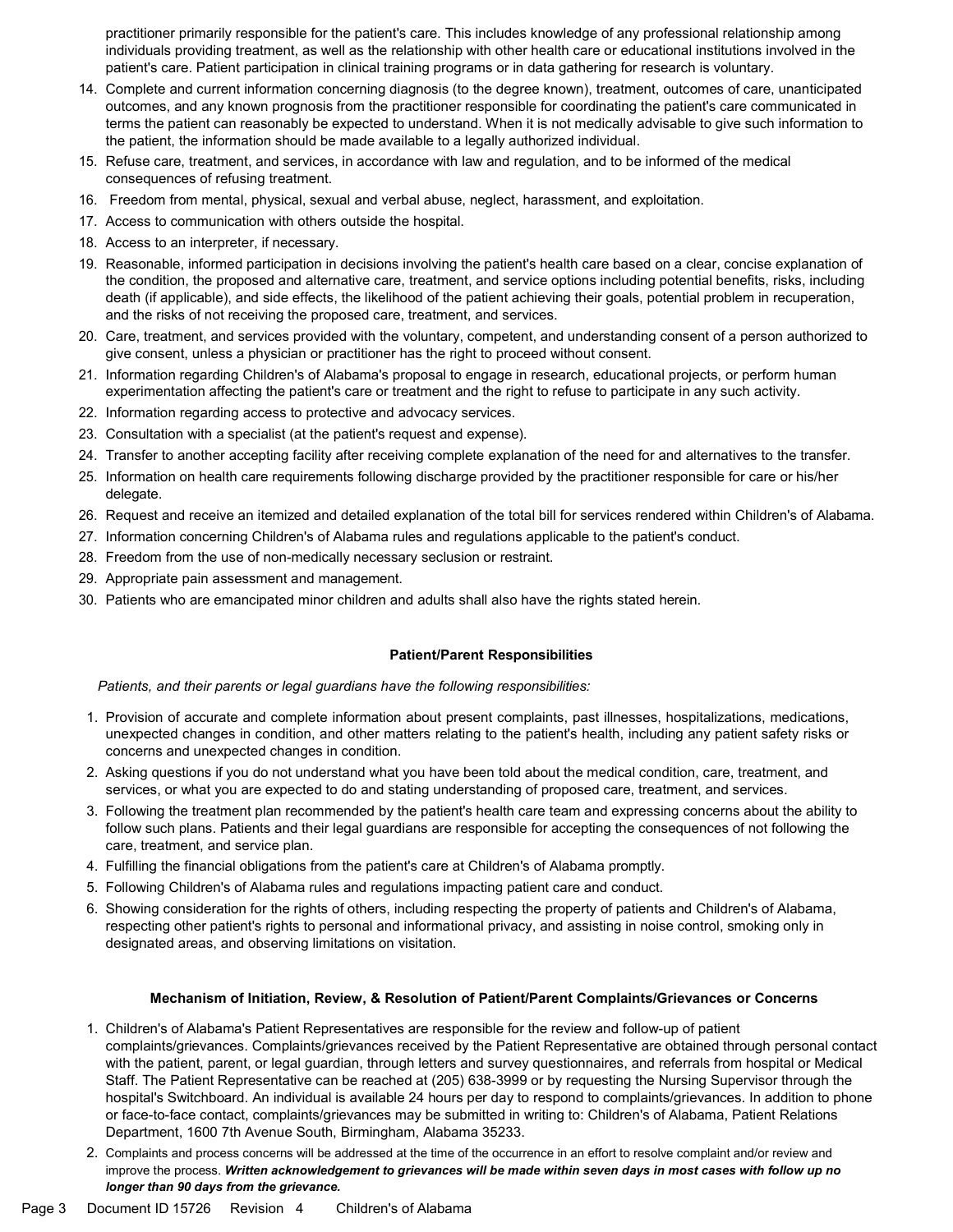practitioner primarily responsible for the patient's care. This includes knowledge of any professional relationship among individuals providing treatment, as well as the relationship with other health care or educational institutions involved in the patient's care. Patient participation in clinical training programs or in data gathering for research is voluntary.

- 14. Complete and current information concerning diagnosis (to the degree known), treatment, outcomes of care, unanticipated outcomes, and any known prognosis from the practitioner responsible for coordinating the patient's care communicated in terms the patient can reasonably be expected to understand. When it is not medically advisable to give such information to the patient, the information should be made available to a legally authorized individual.
- 15. Refuse care, treatment, and services, in accordance with law and regulation, and to be informed of the medical consequences of refusing treatment.
- 16. Freedom from mental, physical, sexual and verbal abuse, neglect, harassment, and exploitation.
- 17. Access to communication with others outside the hospital.
- 18. Access to an interpreter, if necessary.
- 19. Reasonable, informed participation in decisions involving the patient's health care based on a clear, concise explanation of the condition, the proposed and alternative care, treatment, and service options including potential benefits, risks, including death (if applicable), and side effects, the likelihood of the patient achieving their goals, potential problem in recuperation, and the risks of not receiving the proposed care, treatment, and services.
- 20. Care, treatment, and services provided with the voluntary, competent, and understanding consent of a person authorized to give consent, unless a physician or practitioner has the right to proceed without consent.
- 21. Information regarding Children's of Alabama's proposal to engage in research, educational projects, or perform human experimentation affecting the patient's care or treatment and the right to refuse to participate in any such activity.
- 22. Information regarding access to protective and advocacy services.
- 23. Consultation with a specialist (at the patient's request and expense).
- 24. Transfer to another accepting facility after receiving complete explanation of the need for and alternatives to the transfer.
- 25. Information on health care requirements following discharge provided by the practitioner responsible for care or his/her delegate.
- 26. Request and receive an itemized and detailed explanation of the total bill for services rendered within Children's of Alabama.
- 27. Information concerning Children's of Alabama rules and regulations applicable to the patient's conduct.
- 28. Freedom from the use of non-medically necessary seclusion or restraint.
- 29. Appropriate pain assessment and management.
- 30. Patients who are emancipated minor children and adults shall also have the rights stated herein.

#### Patient/Parent Responsibilities

Patients, and their parents or legal guardians have the following responsibilities:

- 1. Provision of accurate and complete information about present complaints, past illnesses, hospitalizations, medications, unexpected changes in condition, and other matters relating to the patient's health, including any patient safety risks or concerns and unexpected changes in condition.
- 2. Asking questions if you do not understand what you have been told about the medical condition, care, treatment, and services, or what you are expected to do and stating understanding of proposed care, treatment, and services.
- 3. Following the treatment plan recommended by the patient's health care team and expressing concerns about the ability to follow such plans. Patients and their legal guardians are responsible for accepting the consequences of not following the care, treatment, and service plan.
- 4. Fulfilling the financial obligations from the patient's care at Children's of Alabama promptly.
- 5. Following Children's of Alabama rules and regulations impacting patient care and conduct.
- 6. Showing consideration for the rights of others, including respecting the property of patients and Children's of Alabama, respecting other patient's rights to personal and informational privacy, and assisting in noise control, smoking only in designated areas, and observing limitations on visitation.

## Mechanism of Initiation, Review, & Resolution of Patient/Parent Complaints/Grievances or Concerns

- 1. Children's of Alabama's Patient Representatives are responsible for the review and follow-up of patient complaints/grievances. Complaints/grievances received by the Patient Representative are obtained through personal contact with the patient, parent, or legal guardian, through letters and survey questionnaires, and referrals from hospital or Medical Staff. The Patient Representative can be reached at (205) 638-3999 or by requesting the Nursing Supervisor through the hospital's Switchboard. An individual is available 24 hours per day to respond to complaints/grievances. In addition to phone or face-to-face contact, complaints/grievances may be submitted in writing to: Children's of Alabama, Patient Relations Department, 1600 7th Avenue South, Birmingham, Alabama 35233.
- 2. Complaints and process concerns will be addressed at the time of the occurrence in an effort to resolve complaint and/or review and improve the process. Written acknowledgement to grievances will be made within seven days in most cases with follow up no longer than 90 days from the grievance.